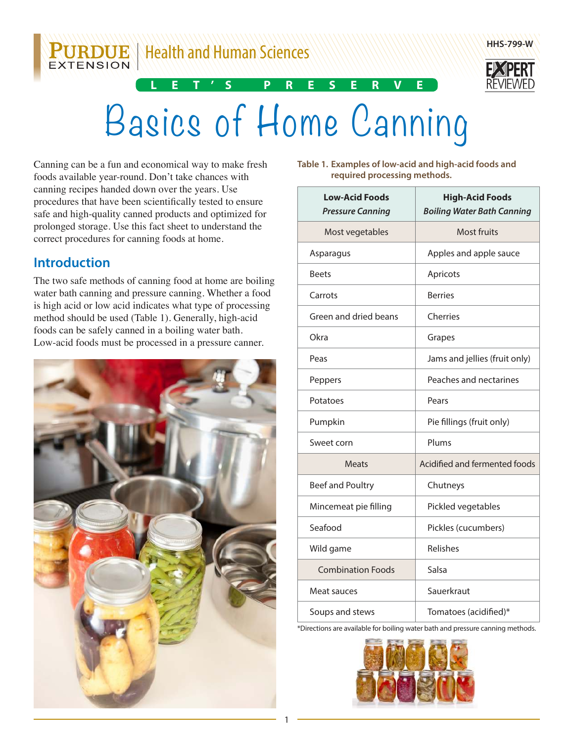**PURDUE** | Health and Human Sciences



# Basics of Home Canning

**L E T'S P R E S E R V E**

Canning can be a fun and economical way to make fresh foods available year-round. Don't take chances with canning recipes handed down over the years. Use procedures that have been scientifically tested to ensure safe and high-quality canned products and optimized for prolonged storage. Use this fact sheet to understand the correct procedures for canning foods at home.

# **Introduction**

The two safe methods of canning food at home are boiling water bath canning and pressure canning. Whether a food is high acid or low acid indicates what type of processing method should be used (Table 1). Generally, high-acid foods can be safely canned in a boiling water bath. Low-acid foods must be processed in a pressure canner.



**Table 1. Examples of low-acid and high-acid foods and required processing methods.**

| <b>Low-Acid Foods</b><br><b>Pressure Canning</b> | <b>High-Acid Foods</b><br><b>Boiling Water Bath Canning</b> |
|--------------------------------------------------|-------------------------------------------------------------|
| Most vegetables                                  | <b>Most fruits</b>                                          |
| Asparagus                                        | Apples and apple sauce                                      |
| <b>Beets</b>                                     | Apricots                                                    |
| Carrots                                          | <b>Berries</b>                                              |
| Green and dried beans                            | Cherries                                                    |
| Okra                                             | Grapes                                                      |
| Peas                                             | Jams and jellies (fruit only)                               |
| Peppers                                          | Peaches and nectarines                                      |
| Potatoes                                         | Pears                                                       |
| Pumpkin                                          | Pie fillings (fruit only)                                   |
| Sweet corn                                       | Plums                                                       |
| <b>Meats</b>                                     | Acidified and fermented foods                               |
| Beef and Poultry                                 | Chutneys                                                    |
| Mincemeat pie filling                            | Pickled vegetables                                          |
| Seafood                                          | Pickles (cucumbers)                                         |
| Wild game                                        | Relishes                                                    |
| <b>Combination Foods</b>                         | Salsa                                                       |
| Meat sauces                                      | Sauerkraut                                                  |
| Soups and stews                                  | Tomatoes (acidified)*                                       |

\*Directions are available for boiling water bath and pressure canning methods.

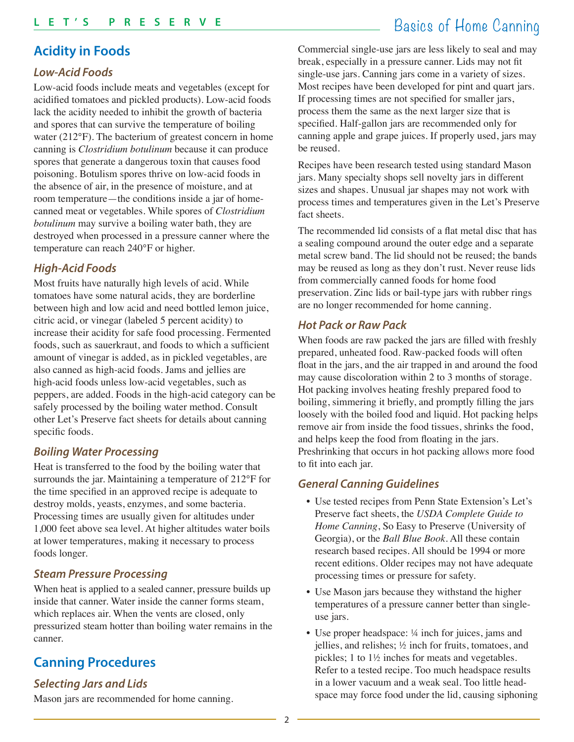### **Acidity in Foods**

#### **Low-Acid Foods**

Low-acid foods include meats and vegetables (except for acidified tomatoes and pickled products). Low-acid foods lack the acidity needed to inhibit the growth of bacteria and spores that can survive the temperature of boiling water (212°F). The bacterium of greatest concern in home canning is *Clostridium botulinum* because it can produce spores that generate a dangerous toxin that causes food poisoning. Botulism spores thrive on low-acid foods in the absence of air, in the presence of moisture, and at room temperature—the conditions inside a jar of homecanned meat or vegetables. While spores of *Clostridium botulinum* may survive a boiling water bath, they are destroyed when processed in a pressure canner where the temperature can reach 240°F or higher.

#### **High-Acid Foods**

Most fruits have naturally high levels of acid. While tomatoes have some natural acids, they are borderline between high and low acid and need bottled lemon juice, citric acid, or vinegar (labeled 5 percent acidity) to increase their acidity for safe food processing. Fermented foods, such as sauerkraut, and foods to which a sufficient amount of vinegar is added, as in pickled vegetables, are also canned as high-acid foods. Jams and jellies are high-acid foods unless low-acid vegetables, such as peppers, are added. Foods in the high-acid category can be safely processed by the boiling water method. Consult other Let's Preserve fact sheets for details about canning specific foods.

#### **Boiling Water Processing**

Heat is transferred to the food by the boiling water that surrounds the jar. Maintaining a temperature of 212°F for the time specified in an approved recipe is adequate to destroy molds, yeasts, enzymes, and some bacteria. Processing times are usually given for altitudes under 1,000 feet above sea level. At higher altitudes water boils at lower temperatures, making it necessary to process foods longer.

#### **Steam Pressure Processing**

When heat is applied to a sealed canner, pressure builds up inside that canner. Water inside the canner forms steam, which replaces air. When the vents are closed, only pressurized steam hotter than boiling water remains in the canner.

# **Canning Procedures**

#### **Selecting Jars and Lids**

Mason jars are recommended for home canning.

# Basics of Home Canning **L E T'S P R E S E R V E**

Commercial single-use jars are less likely to seal and may break, especially in a pressure canner. Lids may not fit single-use jars. Canning jars come in a variety of sizes. Most recipes have been developed for pint and quart jars. If processing times are not specified for smaller jars, process them the same as the next larger size that is specified. Half-gallon jars are recommended only for canning apple and grape juices. If properly used, jars may be reused.

Recipes have been research tested using standard Mason jars. Many specialty shops sell novelty jars in different sizes and shapes. Unusual jar shapes may not work with process times and temperatures given in the Let's Preserve fact sheets.

The recommended lid consists of a flat metal disc that has a sealing compound around the outer edge and a separate metal screw band. The lid should not be reused; the bands may be reused as long as they don't rust. Never reuse lids from commercially canned foods for home food preservation. Zinc lids or bail-type jars with rubber rings are no longer recommended for home canning.

#### **Hot Pack or Raw Pack**

When foods are raw packed the jars are filled with freshly prepared, unheated food. Raw-packed foods will often float in the jars, and the air trapped in and around the food may cause discoloration within 2 to 3 months of storage. Hot packing involves heating freshly prepared food to boiling, simmering it briefly, and promptly filling the jars loosely with the boiled food and liquid. Hot packing helps remove air from inside the food tissues, shrinks the food, and helps keep the food from floating in the jars. Preshrinking that occurs in hot packing allows more food to fit into each jar.

#### **General Canning Guidelines**

- Use tested recipes from Penn State Extension's Let's Preserve fact sheets, the *USDA Complete Guide to Home Canning*, So Easy to Preserve (University of Georgia), or the *Ball Blue Book*. All these contain research based recipes. All should be 1994 or more recent editions. Older recipes may not have adequate processing times or pressure for safety.
- Use Mason jars because they withstand the higher temperatures of a pressure canner better than singleuse jars.
- Use proper headspace: 1/4 inch for juices, jams and jellies, and relishes; ½ inch for fruits, tomatoes, and pickles; 1 to 1½ inches for meats and vegetables. Refer to a tested recipe. Too much headspace results in a lower vacuum and a weak seal. Too little headspace may force food under the lid, causing siphoning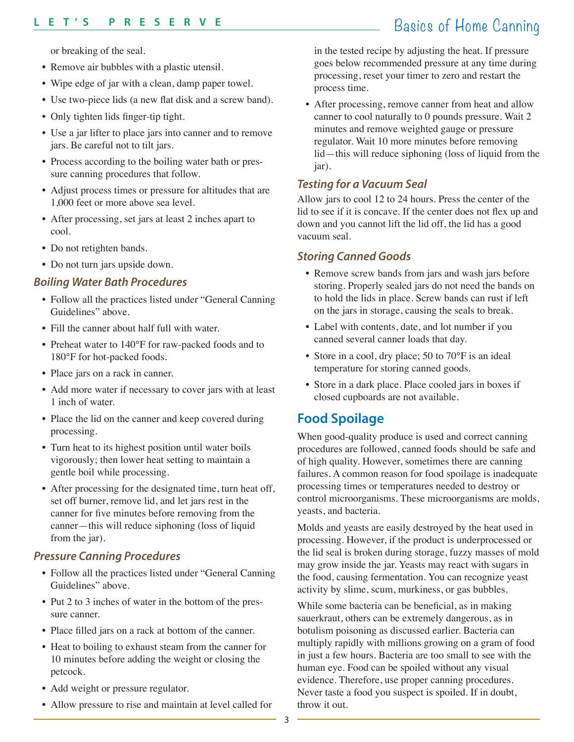or breaking of the seal.

- Remove air bubbles with a plastic utensil.
- Wipe edge of jar with a clean, damp paper towel.
- Use two-piece lids (a new flat disk and a screw band).
- Only tighten lids finger-tip tight.
- Use a jar lifter to place jars into canner and to remove jars. Be careful not to tilt jars.
- Process according to the boiling water bath or pressure canning procedures that follow.
- Adjust process times or pressure for altitudes that are 1,000 feet or more above sea level.
- After processing, set jars at least 2 inches apart to cool.
- Do not retighten bands.
- Do not turn jars upside down.

#### **Boiling Water Bath Procedures**

- Follow all the practices listed under "General Canning Guidelines" above.
- Fill the canner about half full with water.
- Preheat water to 140°F for raw-packed foods and to 180°F for hot-packed foods.
- Place jars on a rack in canner.
- Add more water if necessary to cover jars with at least 1 inch of water.
- Place the lid on the canner and keep covered during processing.
- Turn heat to its highest position until water boils vigorously; then lower heat setting to maintain a gentle boil while processing.
- After processing for the designated time, turn heat off, set off burner, remove lid, and let jars rest in the canner for five minutes before removing from the canner—this will reduce siphoning (loss of liquid from the jar).

#### **Pressure Canning Procedures**

- Follow all the practices listed under "General Canning Guidelines" above.
- Put 2 to 3 inches of water in the bottom of the pressure canner.
- Place filled jars on a rack at bottom of the canner.
- Heat to boiling to exhaust steam from the canner for 10 minutes before adding the weight or closing the petcock.
- Add weight or pressure regulator.
- Allow pressure to rise and maintain at level called for

in the tested recipe by adjusting the heat. If pressure goes below recommended pressure at any time during processing, reset your timer to zero and restart the process time.

• After processing, remove canner from heat and allow canner to cool naturally to 0 pounds pressure. Wait 2 minutes and remove weighted gauge or pressure regulator. Wait 10 more minutes before removing lid—this will reduce siphoning (loss of liquid from the jar).

#### **Testing for a Vacuum Seal**

Allow jars to cool 12 to 24 hours. Press the center of the lid to see if it is concave. If the center does not flex up and down and you cannot lift the lid off, the lid has a good vacuum seal.

#### **Storing Canned Goods**

- Remove screw bands from jars and wash jars before storing. Properly sealed jars do not need the bands on to hold the lids in place. Screw bands can rust if left on the jars in storage, causing the seals to break.
- Label with contents, date, and lot number if you canned several canner loads that day.
- Store in a cool, dry place; 50 to 70°F is an ideal temperature for storing canned goods.
- Store in a dark place. Place cooled jars in boxes if closed cupboards are not available.

# **Food Spoilage**

When good-quality produce is used and correct canning procedures are followed, canned foods should be safe and of high quality. However, sometimes there are canning failures. A common reason for food spoilage is inadequate processing times or temperatures needed to destroy or control microorganisms. These microorganisms are molds, yeasts, and bacteria.

Molds and yeasts are easily destroyed by the heat used in processing. However, if the product is underprocessed or the lid seal is broken during storage, fuzzy masses of mold may grow inside the jar. Yeasts may react with sugars in the food, causing fermentation. You can recognize yeast activity by slime, scum, murkiness, or gas bubbles.

While some bacteria can be beneficial, as in making sauerkraut, others can be extremely dangerous, as in botulism poisoning as discussed earlier. Bacteria can multiply rapidly with millions growing on a gram of food in just a few hours. Bacteria are too small to see with the human eye. Food can be spoiled without any visual evidence. Therefore, use proper canning procedures. Never taste a food you suspect is spoiled. If in doubt, throw it out.